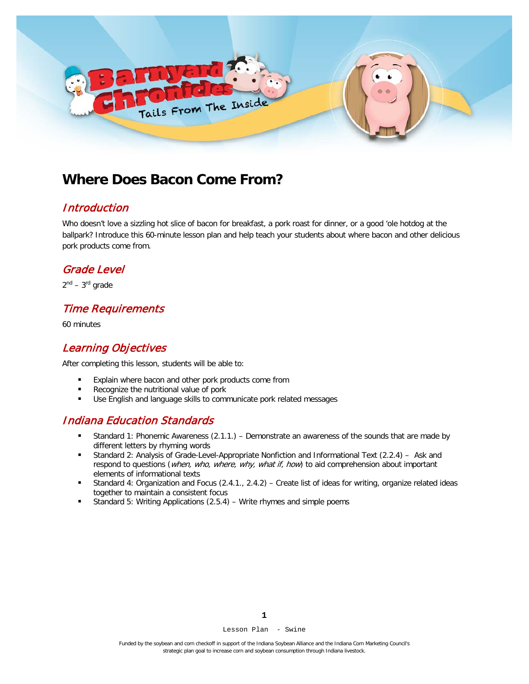

# **Where Does Bacon Come From?**

### **Introduction**

Who doesn't love a sizzling hot slice of bacon for breakfast, a pork roast for dinner, or a good 'ole hotdog at the ballpark? Introduce this 60-minute lesson plan and help teach your students about where bacon and other delicious pork products come from.

#### Grade Level

 $2^{nd}$  –  $3^{rd}$  grade

### Time Requirements

60 minutes

## Learning Objectives

After completing this lesson, students will be able to:

- **Explain where bacon and other pork products come from**
- **Recognize the nutritional value of pork**
- Use English and language skills to communicate pork related messages

## Indiana Education Standards

- Standard 1: Phonemic Awareness (2.1.1.) Demonstrate an awareness of the sounds that are made by different letters by rhyming words
- Standard 2: Analysis of Grade-Level-Appropriate Nonfiction and Informational Text (2.2.4) Ask and respond to questions (when, who, where, why, what if, how) to aid comprehension about important elements of informational texts
- Standard 4: Organization and Focus (2.4.1., 2.4.2) Create list of ideas for writing, organize related ideas together to maintain a consistent focus
- Standard 5: Writing Applications (2.5.4) Write rhymes and simple poems

Lesson Plan - Swine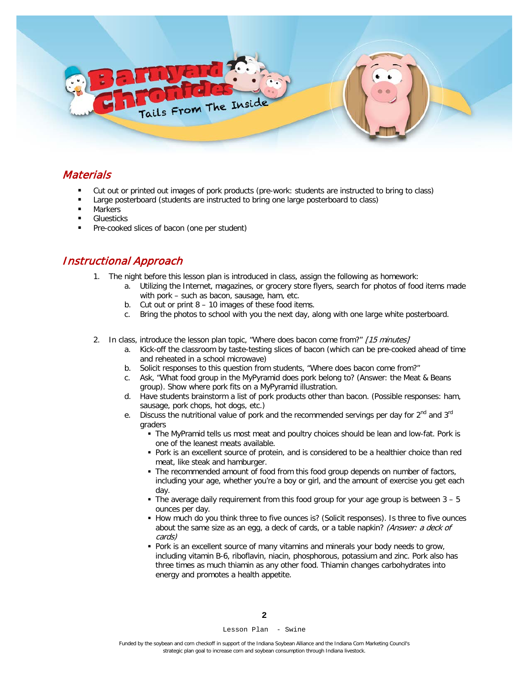

#### **Materials**

- Cut out or printed out images of pork products (pre-work: students are instructed to bring to class)
- Large posterboard (students are instructed to bring one large posterboard to class)
- **Markers**
- **Gluesticks**
- Pre-cooked slices of bacon (one per student)

#### Instructional Approach

- 1. The night before this lesson plan is introduced in class, assign the following as homework:
	- a. Utilizing the Internet, magazines, or grocery store flyers, search for photos of food items made with pork – such as bacon, sausage, ham, etc.
	- b. Cut out or print 8 10 images of these food items.
	- c. Bring the photos to school with you the next day, along with one large white posterboard.
- 2. In class, introduce the lesson plan topic, "Where does bacon come from?" [15 minutes]
	- a. Kick-off the classroom by taste-testing slices of bacon (which can be pre-cooked ahead of time and reheated in a school microwave)
	- b. Solicit responses to this question from students, "Where does bacon come from?"
	- c. Ask, "What food group in the MyPyramid does pork belong to? (Answer: the Meat & Beans group). Show where pork fits on a MyPyramid illustration.
	- d. Have students brainstorm a list of pork products other than bacon. (Possible responses: ham, sausage, pork chops, hot dogs, etc.)
	- e. Discuss the nutritional value of pork and the recommended servings per day for  $2<sup>nd</sup>$  and  $3<sup>rd</sup>$ graders
		- The MyPramid tells us most meat and poultry choices should be lean and low-fat. Pork is one of the leanest meats available.
		- Pork is an excellent source of protein, and is considered to be a healthier choice than red meat, like steak and hamburger.
		- The recommended amount of food from this food group depends on number of factors, including your age, whether you're a boy or girl, and the amount of exercise you get each day.
		- The average daily requirement from this food group for your age group is between  $3 5$ ounces per day.
		- How much do you think three to five ounces is? (Solicit responses). Is three to five ounces about the same size as an egg, a deck of cards, or a table napkin? (Answer: a deck of cards)
		- **Pork is an excellent source of many vitamins and minerals your body needs to grow,** including vitamin B-6, riboflavin, niacin, phosphorous, potassium and zinc. Pork also has three times as much thiamin as any other food. Thiamin changes carbohydrates into energy and promotes a health appetite.

Lesson Plan - Swine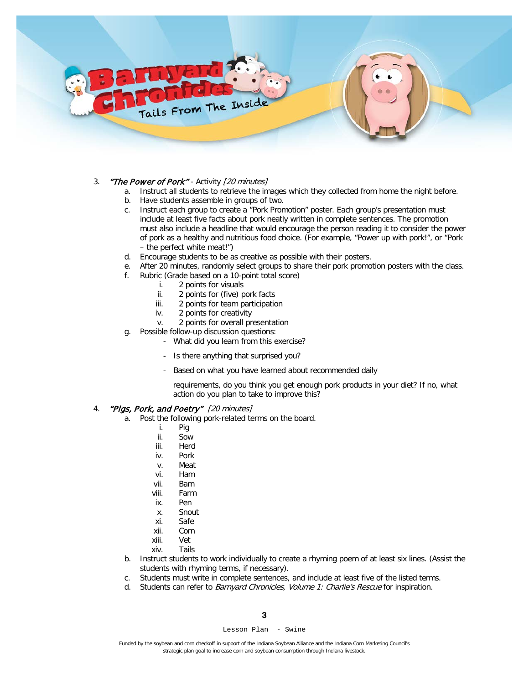

#### 3. **The Power of Pork"** - Activity [20 minutes]

- a. Instruct all students to retrieve the images which they collected from home the night before.
- b. Have students assemble in groups of two.
- c. Instruct each group to create a "Pork Promotion" poster. Each group's presentation must include at least five facts about pork neatly written in complete sentences. The promotion must also include a headline that would encourage the person reading it to consider the power of pork as a healthy and nutritious food choice. (For example, "Power up with pork!", or "Pork – the perfect white meat!")
- d. Encourage students to be as creative as possible with their posters.
- e. After 20 minutes, randomly select groups to share their pork promotion posters with the class.
- f. Rubric (Grade based on a 10-point total score)
	- i. 2 points for visuals
	- ii. 2 points for (five) pork facts
	- iii. 2 points for team participation
	- iv. 2 points for creativity
	- v. 2 points for overall presentation
- g. Possible follow-up discussion questions:
	- What did you learn from this exercise?
	- Is there anything that surprised you?
	- Based on what you have learned about recommended daily

requirements, do you think you get enough pork products in your diet? If no, what action do you plan to take to improve this?

#### 4. *"Pigs, Pork, and Poetry"* [20 minutes]

- a. Post the following pork-related terms on the board.
	- i. Pig
	- ii. Sow
	- iii. Herd
	- iv. Pork
	- v. Meat
	- vi. Ham
	- vii. Barn
	- viii. Farm
	- ix. Pen
	- x. Snout
	- xi. Safe
	- xii. Corn
	- xiii. Vet
	- xiv. Tails
- b. Instruct students to work individually to create a rhyming poem of at least six lines. (Assist the students with rhyming terms, if necessary).
- c. Students must write in complete sentences, and include at least five of the listed terms.
- d. Students can refer to *Barnyard Chronicles, Volume 1: Charlie's Rescue* for inspiration.

Lesson Plan - Swine